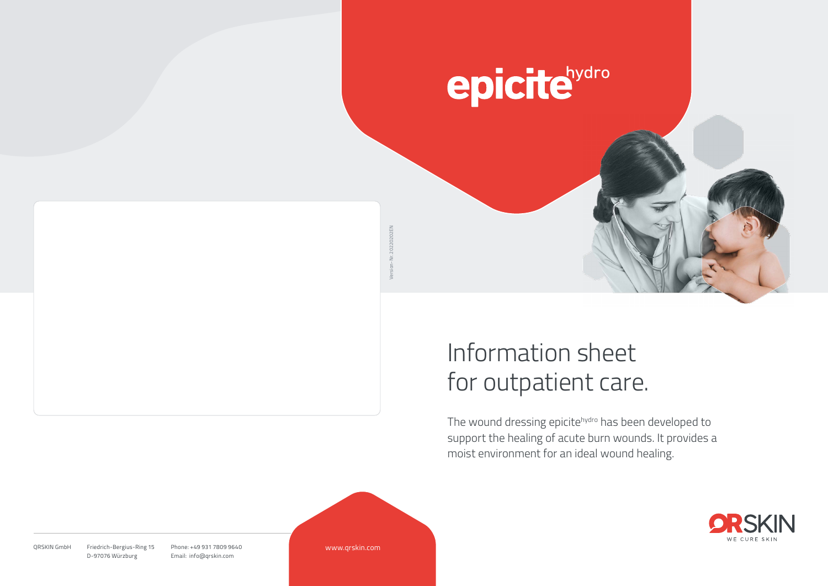# epicitehydro

# Information sheet for outpatient care.

The wound dressing epicitehydro has been developed to support the healing of acute burn wounds. It provides a moist environment for an ideal wound healing.



Friedrich-Bergius-Ring 15 D-97076 Würzburg ORSKIN GmbH Friedrich-Bergius-Ring 15 Phone: +49 931 7809 9640 Email: info@qrskin.com

www.qrskin.com

Version-Nr. 20220202EN